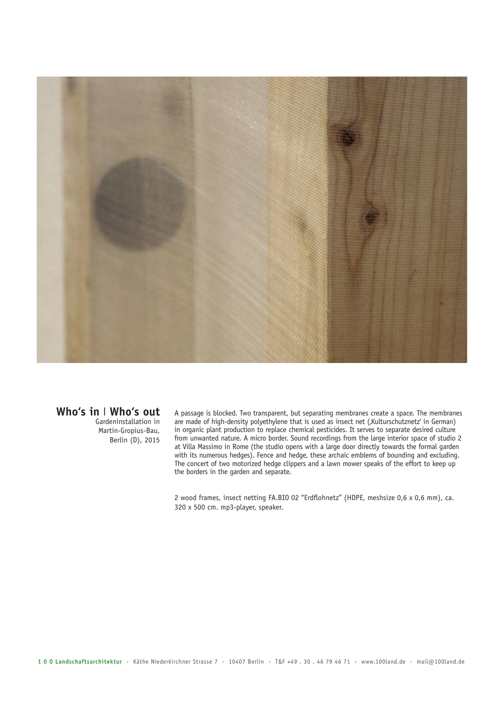

## **Who's in** ǀ **Who's out**

Gardeninstallation in Martin-Gropius-Bau, Berlin (D), 2015

A passage is blocked. Two transparent, but separating membranes create a space. The membranes are made of high-density polyethylene that is used as insect net (Kulturschutznetz' in German) in organic plant production to replace chemical pesticides. It serves to separate desired culture from unwanted nature. A micro border. Sound recordings from the large interior space of studio 2 at Villa Massimo in Rome (the studio opens with a large door directly towards the formal garden with its numerous hedges). Fence and hedge, these archaic emblems of bounding and excluding. The concert of two motorized hedge clippers and a lawn mower speaks of the effort to keep up the borders in the garden and separate.

2 wood frames, insect netting FA.BIO 02 "Erdflohnetz" (HDPE, meshsize 0,6 x 0,6 mm), ca. 320 x 500 cm. mp3-player, speaker.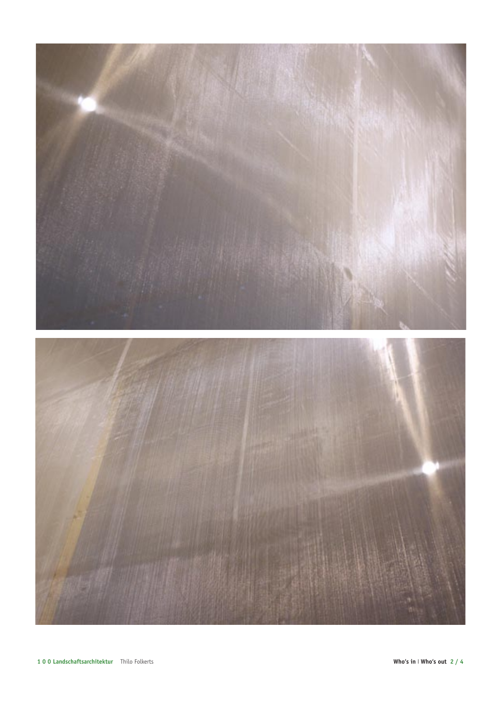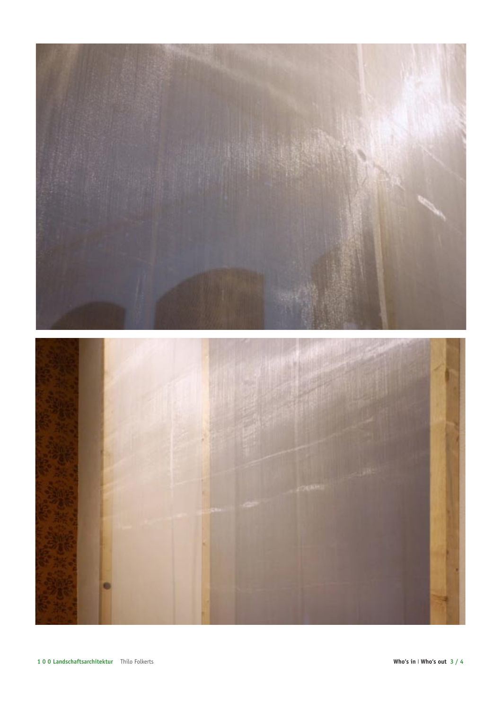